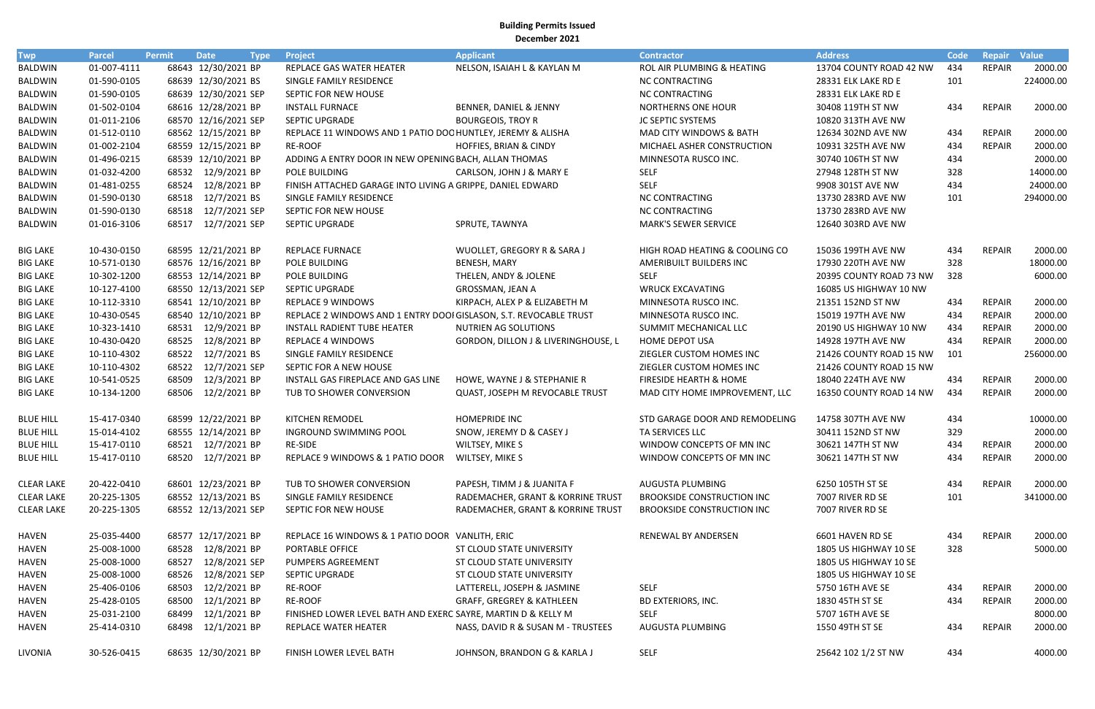**Building Permits Issued December 2021**

| <b>Twp</b>        | <b>Parcel</b> | Permit | <b>Date</b>          | <b>Project</b><br><b>Type</b>                                     | <b>Applicant</b>                     | <b>Contractor</b>                  | <b>Address</b>          | Code | <b>Repair</b> | <b>Value</b> |
|-------------------|---------------|--------|----------------------|-------------------------------------------------------------------|--------------------------------------|------------------------------------|-------------------------|------|---------------|--------------|
| <b>BALDWIN</b>    | 01-007-4111   |        | 68643 12/30/2021 BP  | REPLACE GAS WATER HEATER                                          | NELSON, ISAIAH L & KAYLAN M          | ROL AIR PLUMBING & HEATING         | 13704 COUNTY ROAD 42 NW | 434  | <b>REPAIR</b> | 2000.00      |
| <b>BALDWIN</b>    | 01-590-0105   |        | 68639 12/30/2021 BS  | SINGLE FAMILY RESIDENCE                                           |                                      | <b>NC CONTRACTING</b>              | 28331 ELK LAKE RD E     | 101  |               | 224000.00    |
| BALDWIN           | 01-590-0105   |        | 68639 12/30/2021 SEP | SEPTIC FOR NEW HOUSE                                              |                                      | <b>NC CONTRACTING</b>              | 28331 ELK LAKE RD E     |      |               |              |
| BALDWIN           | 01-502-0104   |        | 68616 12/28/2021 BP  | <b>INSTALL FURNACE</b>                                            | BENNER, DANIEL & JENNY               | <b>NORTHERNS ONE HOUR</b>          | 30408 119TH ST NW       | 434  | <b>REPAIR</b> | 2000.00      |
| <b>BALDWIN</b>    | 01-011-2106   |        | 68570 12/16/2021 SEP | SEPTIC UPGRADE                                                    | <b>BOURGEOIS, TROY R</b>             | JC SEPTIC SYSTEMS                  | 10820 313TH AVE NW      |      |               |              |
| <b>BALDWIN</b>    | 01-512-0110   |        | 68562 12/15/2021 BP  | REPLACE 11 WINDOWS AND 1 PATIO DOC HUNTLEY, JEREMY & ALISHA       |                                      | <b>MAD CITY WINDOWS &amp; BATH</b> | 12634 302ND AVE NW      | 434  | <b>REPAIR</b> | 2000.00      |
| <b>BALDWIN</b>    | 01-002-2104   |        | 68559 12/15/2021 BP  | RE-ROOF                                                           | HOFFIES, BRIAN & CINDY               | MICHAEL ASHER CONSTRUCTION         | 10931 325TH AVE NW      | 434  | <b>REPAIR</b> | 2000.00      |
| BALDWIN           | 01-496-0215   |        | 68539 12/10/2021 BP  | ADDING A ENTRY DOOR IN NEW OPENING BACH, ALLAN THOMAS             |                                      | MINNESOTA RUSCO INC.               | 30740 106TH ST NW       | 434  |               | 2000.00      |
| BALDWIN           | 01-032-4200   |        | 68532 12/9/2021 BP   | POLE BUILDING                                                     | CARLSON, JOHN J & MARY E             | <b>SELF</b>                        | 27948 128TH ST NW       | 328  |               | 14000.00     |
| BALDWIN           | 01-481-0255   |        | 68524 12/8/2021 BP   | FINISH ATTACHED GARAGE INTO LIVING A GRIPPE, DANIEL EDWARD        |                                      | <b>SELF</b>                        | 9908 301ST AVE NW       | 434  |               | 24000.00     |
| BALDWIN           | 01-590-0130   |        | 68518 12/7/2021 BS   | SINGLE FAMILY RESIDENCE                                           |                                      | <b>NC CONTRACTING</b>              | 13730 283RD AVE NW      | 101  |               | 294000.00    |
| BALDWIN           | 01-590-0130   |        | 68518 12/7/2021 SEP  | SEPTIC FOR NEW HOUSE                                              |                                      | <b>NC CONTRACTING</b>              | 13730 283RD AVE NW      |      |               |              |
| <b>BALDWIN</b>    | 01-016-3106   |        | 68517 12/7/2021 SEP  | SEPTIC UPGRADE                                                    | SPRUTE, TAWNYA                       | <b>MARK'S SEWER SERVICE</b>        | 12640 303RD AVE NW      |      |               |              |
| <b>BIG LAKE</b>   | 10-430-0150   |        | 68595 12/21/2021 BP  | <b>REPLACE FURNACE</b>                                            | WUOLLET, GREGORY R & SARA J          | HIGH ROAD HEATING & COOLING CO     | 15036 199TH AVE NW      | 434  | <b>REPAIR</b> | 2000.00      |
| <b>BIG LAKE</b>   | 10-571-0130   |        | 68576 12/16/2021 BP  | POLE BUILDING                                                     | BENESH, MARY                         | AMERIBUILT BUILDERS INC            | 17930 220TH AVE NW      | 328  |               | 18000.00     |
| <b>BIG LAKE</b>   | 10-302-1200   |        | 68553 12/14/2021 BP  | POLE BUILDING                                                     | THELEN, ANDY & JOLENE                | <b>SELF</b>                        | 20395 COUNTY ROAD 73 NW | 328  |               | 6000.00      |
| <b>BIG LAKE</b>   | 10-127-4100   |        | 68550 12/13/2021 SEP | SEPTIC UPGRADE                                                    | GROSSMAN, JEAN A                     | <b>WRUCK EXCAVATING</b>            | 16085 US HIGHWAY 10 NW  |      |               |              |
| <b>BIG LAKE</b>   | 10-112-3310   |        | 68541 12/10/2021 BP  | <b>REPLACE 9 WINDOWS</b>                                          | KIRPACH, ALEX P & ELIZABETH M        | MINNESOTA RUSCO INC.               | 21351 152ND ST NW       | 434  | <b>REPAIR</b> | 2000.00      |
| <b>BIG LAKE</b>   | 10-430-0545   |        | 68540 12/10/2021 BP  | REPLACE 2 WINDOWS AND 1 ENTRY DOOI GISLASON, S.T. REVOCABLE TRUST |                                      | MINNESOTA RUSCO INC.               | 15019 197TH AVE NW      | 434  | <b>REPAIR</b> | 2000.00      |
| <b>BIG LAKE</b>   | 10-323-1410   |        | 68531 12/9/2021 BP   | <b>INSTALL RADIENT TUBE HEATER</b>                                | NUTRIEN AG SOLUTIONS                 | SUMMIT MECHANICAL LLC              | 20190 US HIGHWAY 10 NW  | 434  | <b>REPAIR</b> | 2000.00      |
| <b>BIG LAKE</b>   | 10-430-0420   |        | 68525 12/8/2021 BP   | <b>REPLACE 4 WINDOWS</b>                                          | GORDON, DILLON J & LIVERINGHOUSE, L  | <b>HOME DEPOT USA</b>              | 14928 197TH AVE NW      | 434  | <b>REPAIR</b> | 2000.00      |
| <b>BIG LAKE</b>   | 10-110-4302   |        | 68522 12/7/2021 BS   | SINGLE FAMILY RESIDENCE                                           |                                      | ZIEGLER CUSTOM HOMES INC           | 21426 COUNTY ROAD 15 NW | 101  |               | 256000.00    |
| <b>BIG LAKE</b>   | 10-110-4302   |        | 68522 12/7/2021 SEP  | SEPTIC FOR A NEW HOUSE                                            |                                      | ZIEGLER CUSTOM HOMES INC           | 21426 COUNTY ROAD 15 NW |      |               |              |
| <b>BIG LAKE</b>   | 10-541-0525   |        | 68509 12/3/2021 BP   | INSTALL GAS FIREPLACE AND GAS LINE                                | HOWE, WAYNE J & STEPHANIE R          | FIRESIDE HEARTH & HOME             | 18040 224TH AVE NW      | 434  | <b>REPAIR</b> | 2000.00      |
| <b>BIG LAKE</b>   | 10-134-1200   |        | 68506 12/2/2021 BP   | TUB TO SHOWER CONVERSION                                          | QUAST, JOSEPH M REVOCABLE TRUST      | MAD CITY HOME IMPROVEMENT, LLC     | 16350 COUNTY ROAD 14 NW | 434  | <b>REPAIR</b> | 2000.00      |
| <b>BLUE HILL</b>  | 15-417-0340   |        | 68599 12/22/2021 BP  | KITCHEN REMODEL                                                   | <b>HOMEPRIDE INC</b>                 | STD GARAGE DOOR AND REMODELING     | 14758 307TH AVE NW      | 434  |               | 10000.00     |
| <b>BLUE HILL</b>  | 15-014-4102   |        | 68555 12/14/2021 BP  | INGROUND SWIMMING POOL                                            | SNOW, JEREMY D & CASEY J             | TA SERVICES LLC                    | 30411 152ND ST NW       | 329  |               | 2000.00      |
| <b>BLUE HILL</b>  | 15-417-0110   |        | 68521 12/7/2021 BP   | RE-SIDE                                                           | WILTSEY, MIKE S                      | WINDOW CONCEPTS OF MN INC          | 30621 147TH ST NW       | 434  | REPAIR        | 2000.00      |
| <b>BLUE HILL</b>  | 15-417-0110   |        | 68520 12/7/2021 BP   | REPLACE 9 WINDOWS & 1 PATIO DOOR                                  | WILTSEY, MIKE S                      | WINDOW CONCEPTS OF MN INC          | 30621 147TH ST NW       | 434  | <b>REPAIR</b> | 2000.00      |
| <b>CLEAR LAKE</b> | 20-422-0410   |        | 68601 12/23/2021 BP  | TUB TO SHOWER CONVERSION                                          | PAPESH, TIMM J & JUANITA F           | AUGUSTA PLUMBING                   | 6250 105TH ST SE        | 434  | REPAIR        | 2000.00      |
| <b>CLEAR LAKE</b> | 20-225-1305   |        | 68552 12/13/2021 BS  | SINGLE FAMILY RESIDENCE                                           | RADEMACHER, GRANT & KORRINE TRUST    | <b>BROOKSIDE CONSTRUCTION INC</b>  | 7007 RIVER RD SE        | 101  |               | 341000.00    |
| <b>CLEAR LAKE</b> | 20-225-1305   |        | 68552 12/13/2021 SEP | SEPTIC FOR NEW HOUSE                                              | RADEMACHER, GRANT & KORRINE TRUST    | <b>BROOKSIDE CONSTRUCTION INC</b>  | 7007 RIVER RD SE        |      |               |              |
| <b>HAVEN</b>      | 25-035-4400   |        | 68577 12/17/2021 BP  | REPLACE 16 WINDOWS & 1 PATIO DOOR VANLITH, ERIC                   |                                      | RENEWAL BY ANDERSEN                | 6601 HAVEN RD SE        | 434  | <b>REPAIR</b> | 2000.00      |
| <b>HAVEN</b>      | 25-008-1000   |        | 68528 12/8/2021 BP   | PORTABLE OFFICE                                                   | ST CLOUD STATE UNIVERSITY            |                                    | 1805 US HIGHWAY 10 SE   | 328  |               | 5000.00      |
| HAVEN             | 25-008-1000   |        | 68527 12/8/2021 SEP  | PUMPERS AGREEMENT                                                 | ST CLOUD STATE UNIVERSITY            |                                    | 1805 US HIGHWAY 10 SE   |      |               |              |
| <b>HAVEN</b>      | 25-008-1000   |        | 68526 12/8/2021 SEP  | <b>SEPTIC UPGRADE</b>                                             | ST CLOUD STATE UNIVERSITY            |                                    | 1805 US HIGHWAY 10 SE   |      |               |              |
| <b>HAVEN</b>      | 25-406-0106   |        | 68503 12/2/2021 BP   | RE-ROOF                                                           | LATTERELL, JOSEPH & JASMINE          | <b>SELF</b>                        | 5750 16TH AVE SE        | 434  | <b>REPAIR</b> | 2000.00      |
| <b>HAVEN</b>      | 25-428-0105   |        | 68500 12/1/2021 BP   | RE-ROOF                                                           | <b>GRAFF, GREGREY &amp; KATHLEEN</b> | <b>BD EXTERIORS, INC.</b>          | 1830 45TH ST SE         | 434  | <b>REPAIR</b> | 2000.00      |
| HAVEN             | 25-031-2100   |        | 68499 12/1/2021 BP   | FINISHED LOWER LEVEL BATH AND EXERC SAYRE, MARTIN D & KELLY M     |                                      | <b>SELF</b>                        | 5707 16TH AVE SE        |      |               | 8000.00      |
| <b>HAVEN</b>      | 25-414-0310   |        | 68498 12/1/2021 BP   | REPLACE WATER HEATER                                              | NASS, DAVID R & SUSAN M - TRUSTEES   | AUGUSTA PLUMBING                   | 1550 49TH ST SE         | 434  | <b>REPAIR</b> | 2000.00      |
| LIVONIA           | 30-526-0415   |        | 68635 12/30/2021 BP  | FINISH LOWER LEVEL BATH                                           | JOHNSON, BRANDON G & KARLA J         | SELF                               | 25642 102 1/2 ST NW     | 434  |               | 4000.00      |

| <b>Address</b>          | <b>Code</b> | <b>Repair</b> | <b>Value</b> |
|-------------------------|-------------|---------------|--------------|
| 13704 COUNTY ROAD 42 NW | 434         | <b>REPAIR</b> | 2000.00      |
| 28331 ELK LAKE RD E     | 101         |               | 224000.00    |
| 28331 ELK LAKE RD E     |             |               |              |
| 30408 119TH ST NW       | 434         | <b>REPAIR</b> | 2000.00      |
| 10820 313TH AVE NW      |             |               |              |
| 12634 302ND AVE NW      | 434         | <b>REPAIR</b> | 2000.00      |
| 10931 325TH AVE NW      | 434         | <b>REPAIR</b> | 2000.00      |
| 30740 106TH ST NW       | 434         |               | 2000.00      |
| 27948 128TH ST NW       | 328         |               | 14000.00     |
| 9908 301ST AVE NW       | 434         |               | 24000.00     |
| 13730 283RD AVE NW      | 101         |               | 294000.00    |
| 13730 283RD AVE NW      |             |               |              |
| 12640 303RD AVE NW      |             |               |              |
| 15036 199TH AVE NW      | 434         | <b>REPAIR</b> | 2000.00      |
| 17930 220TH AVE NW      | 328         |               | 18000.00     |
| 20395 COUNTY ROAD 73 NW | 328         |               | 6000.00      |
| 16085 US HIGHWAY 10 NW  |             |               |              |
| 21351 152ND ST NW       | 434         | <b>REPAIR</b> | 2000.00      |
| 15019 197TH AVE NW      | 434         | <b>REPAIR</b> | 2000.00      |
| 20190 US HIGHWAY 10 NW  | 434         | <b>REPAIR</b> | 2000.00      |
| 14928 197TH AVE NW      | 434         | <b>REPAIR</b> | 2000.00      |
| 21426 COUNTY ROAD 15 NW | 101         |               | 256000.00    |
| 21426 COUNTY ROAD 15 NW |             |               |              |
| 18040 224TH AVE NW      | 434         | <b>REPAIR</b> | 2000.00      |
| 16350 COUNTY ROAD 14 NW | 434         | <b>REPAIR</b> | 2000.00      |
| 14758 307TH AVE NW      | 434         |               | 10000.00     |
| 30411 152ND ST NW       | 329         |               | 2000.00      |
| 30621 147TH ST NW       | 434         | REPAIR        | 2000.00      |
| 30621 147TH ST NW       | 434         | REPAIR        | 2000.00      |
| 6250 105TH ST SE        | 434         | REPAIR        | 2000.00      |
| 7007 RIVER RD SE        | 101         |               | 341000.00    |
| 7007 RIVER RD SE        |             |               |              |
| 6601 HAVEN RD SE        | 434         | <b>REPAIR</b> | 2000.00      |
| 1805 US HIGHWAY 10 SE   | 328         |               | 5000.00      |
| 1805 US HIGHWAY 10 SE   |             |               |              |
| 1805 US HIGHWAY 10 SE   |             |               |              |
| 5750 16TH AVE SE        | 434         | REPAIR        | 2000.00      |
| 1830 45TH ST SE         | 434         | <b>REPAIR</b> | 2000.00      |
| 5707 16TH AVE SE        |             |               | 8000.00      |
| 1550 49TH ST SE         | 434         | REPAIR        | 2000.00      |
| 25642 102 1/2 ST NW     | 434         |               | 4000.00      |